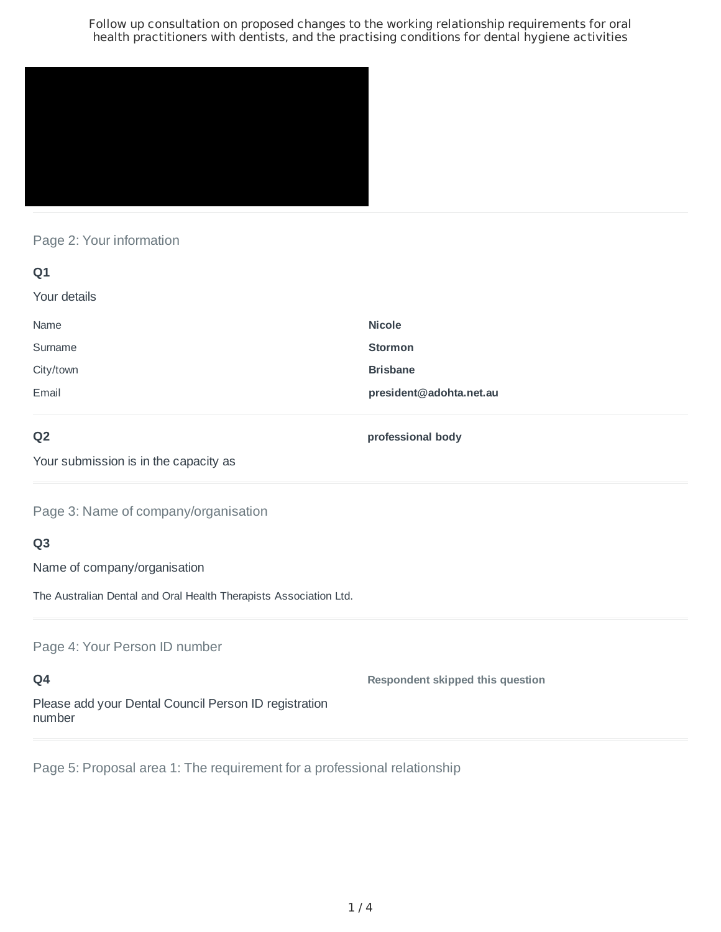

## Page 2: Your information

| Q1           |                         |
|--------------|-------------------------|
| Your details |                         |
| Name         | <b>Nicole</b>           |
| Surname      | <b>Stormon</b>          |
| City/town    | <b>Brisbane</b>         |
| Email        | president@adohta.net.au |
|              |                         |

## **Q2**

**professional body**

Your submission is in the capacity as

Page 3: Name of company/organisation

# **Q3**

Name of company/organisation

The Australian Dental and Oral Health Therapists Association Ltd.

Page 4: Your Person ID number

**Q4** Please add your Dental Council Person ID registration number **Respondent skipped this question**

Page 5: Proposal area 1: The requirement for a professional relationship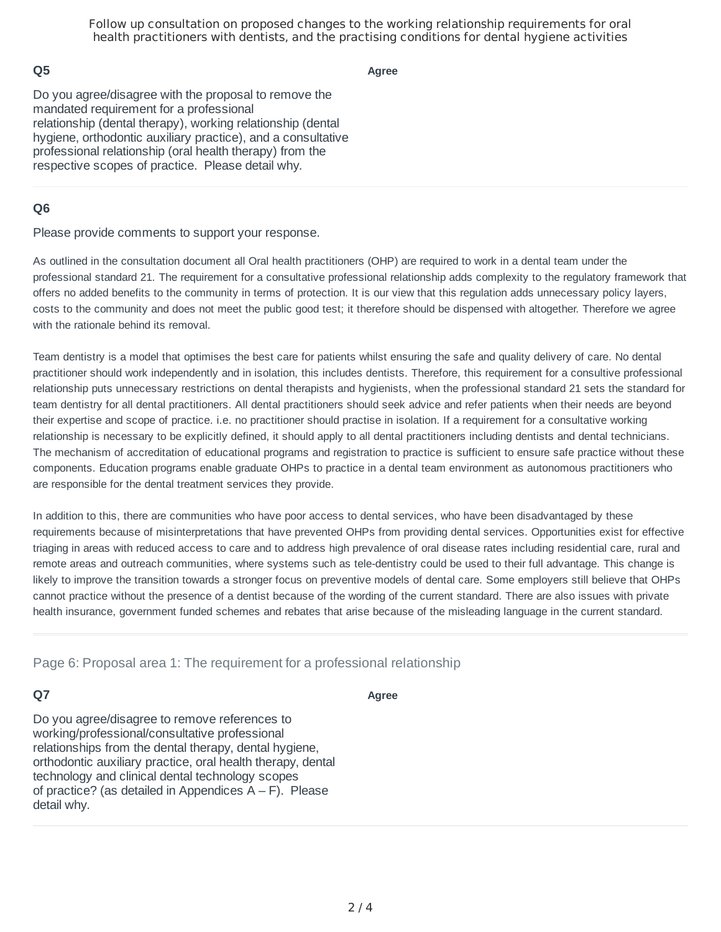## **Q5**

**Agree**

Do you agree/disagree with the proposal to remove the mandated requirement for a professional relationship (dental therapy), working relationship (dental hygiene, orthodontic auxiliary practice), and a consultative professional relationship (oral health therapy) from the respective scopes of practice. Please detail why.

## **Q6**

Please provide comments to support your response.

As outlined in the consultation document all Oral health practitioners (OHP) are required to work in a dental team under the professional standard 21. The requirement for a consultative professional relationship adds complexity to the regulatory framework that offers no added benefits to the community in terms of protection. It is our view that this regulation adds unnecessary policy layers, costs to the community and does not meet the public good test; it therefore should be dispensed with altogether. Therefore we agree with the rationale behind its removal

Team dentistry is a model that optimises the best care for patients whilst ensuring the safe and quality delivery of care. No dental practitioner should work independently and in isolation, this includes dentists. Therefore, this requirement for a consultive professional relationship puts unnecessary restrictions on dental therapists and hygienists, when the professional standard 21 sets the standard for team dentistry for all dental practitioners. All dental practitioners should seek advice and refer patients when their needs are beyond their expertise and scope of practice. i.e. no practitioner should practise in isolation. If a requirement for a consultative working relationship is necessary to be explicitly defined, it should apply to all dental practitioners including dentists and dental technicians. The mechanism of accreditation of educational programs and registration to practice is sufficient to ensure safe practice without these components. Education programs enable graduate OHPs to practice in a dental team environment as autonomous practitioners who are responsible for the dental treatment services they provide.

In addition to this, there are communities who have poor access to dental services, who have been disadvantaged by these requirements because of misinterpretations that have prevented OHPs from providing dental services. Opportunities exist for effective triaging in areas with reduced access to care and to address high prevalence of oral disease rates including residential care, rural and remote areas and outreach communities, where systems such as tele-dentistry could be used to their full advantage. This change is likely to improve the transition towards a stronger focus on preventive models of dental care. Some employers still believe that OHPs cannot practice without the presence of a dentist because of the wording of the current standard. There are also issues with private health insurance, government funded schemes and rebates that arise because of the misleading language in the current standard.

Page 6: Proposal area 1: The requirement for a professional relationship

### **Q7**

**Agree**

Do you agree/disagree to remove references to working/professional/consultative professional relationships from the dental therapy, dental hygiene, orthodontic auxiliary practice, oral health therapy, dental technology and clinical dental technology scopes of practice? (as detailed in Appendices  $A - F$ ). Please detail why.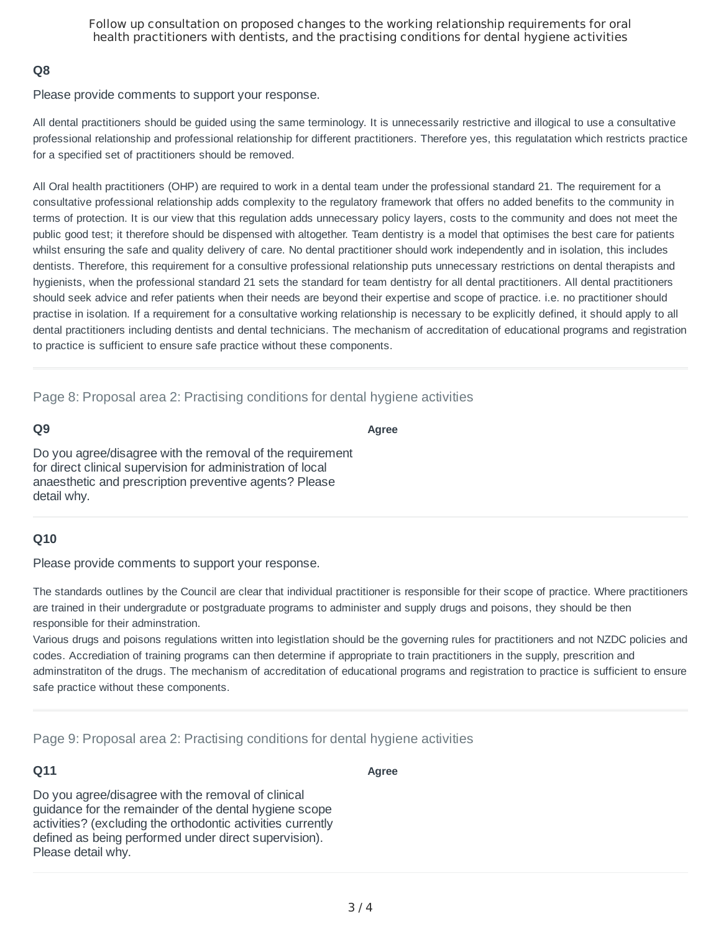## **Q8**

Please provide comments to support your response.

All dental practitioners should be guided using the same terminology. It is unnecessarily restrictive and illogical to use a consultative professional relationship and professional relationship for different practitioners. Therefore yes, this regulatation which restricts practice for a specified set of practitioners should be removed.

All Oral health practitioners (OHP) are required to work in a dental team under the professional standard 21. The requirement for a consultative professional relationship adds complexity to the regulatory framework that offers no added benefits to the community in terms of protection. It is our view that this regulation adds unnecessary policy layers, costs to the community and does not meet the public good test; it therefore should be dispensed with altogether. Team dentistry is a model that optimises the best care for patients whilst ensuring the safe and quality delivery of care. No dental practitioner should work independently and in isolation, this includes dentists. Therefore, this requirement for a consultive professional relationship puts unnecessary restrictions on dental therapists and hygienists, when the professional standard 21 sets the standard for team dentistry for all dental practitioners. All dental practitioners should seek advice and refer patients when their needs are beyond their expertise and scope of practice. i.e. no practitioner should practise in isolation. If a requirement for a consultative working relationship is necessary to be explicitly defined, it should apply to all dental practitioners including dentists and dental technicians. The mechanism of accreditation of educational programs and registration to practice is sufficient to ensure safe practice without these components.

Page 8: Proposal area 2: Practising conditions for dental hygiene activities

#### **Q9**

**Agree**

Do you agree/disagree with the removal of the requirement for direct clinical supervision for administration of local anaesthetic and prescription preventive agents? Please detail why.

## **Q10**

Please provide comments to support your response.

The standards outlines by the Council are clear that individual practitioner is responsible for their scope of practice. Where practitioners are trained in their undergradute or postgraduate programs to administer and supply drugs and poisons, they should be then responsible for their adminstration.

Various drugs and poisons regulations written into legistlation should be the governing rules for practitioners and not NZDC policies and codes. Accrediation of training programs can then determine if appropriate to train practitioners in the supply, prescrition and adminstratiton of the drugs. The mechanism of accreditation of educational programs and registration to practice is sufficient to ensure safe practice without these components.

Page 9: Proposal area 2: Practising conditions for dental hygiene activities

## **Q11**

**Agree**

Do you agree/disagree with the removal of clinical guidance for the remainder of the dental hygiene scope activities? (excluding the orthodontic activities currently defined as being performed under direct supervision). Please detail why.